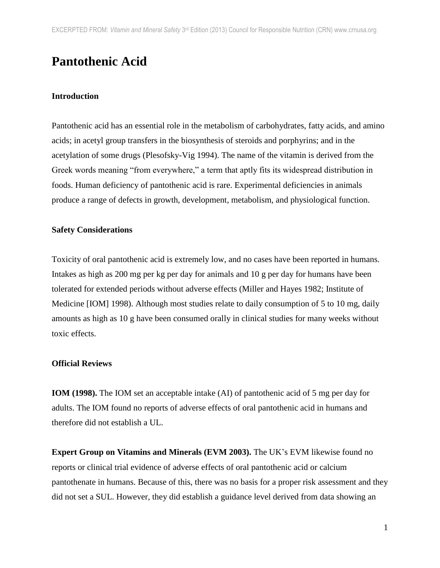# **Pantothenic Acid**

## **Introduction**

Pantothenic acid has an essential role in the metabolism of carbohydrates, fatty acids, and amino acids; in acetyl group transfers in the biosynthesis of steroids and porphyrins; and in the acetylation of some drugs (Plesofsky-Vig 1994). The name of the vitamin is derived from the Greek words meaning "from everywhere," a term that aptly fits its widespread distribution in foods. Human deficiency of pantothenic acid is rare. Experimental deficiencies in animals produce a range of defects in growth, development, metabolism, and physiological function.

#### **Safety Considerations**

Toxicity of oral pantothenic acid is extremely low, and no cases have been reported in humans. Intakes as high as 200 mg per kg per day for animals and 10 g per day for humans have been tolerated for extended periods without adverse effects (Miller and Hayes 1982; Institute of Medicine [IOM] 1998). Although most studies relate to daily consumption of 5 to 10 mg, daily amounts as high as 10 g have been consumed orally in clinical studies for many weeks without toxic effects.

#### **Official Reviews**

**IOM (1998).** The IOM set an acceptable intake (AI) of pantothenic acid of 5 mg per day for adults. The IOM found no reports of adverse effects of oral pantothenic acid in humans and therefore did not establish a UL.

**Expert Group on Vitamins and Minerals (EVM 2003).** The UK's EVM likewise found no reports or clinical trial evidence of adverse effects of oral pantothenic acid or calcium pantothenate in humans. Because of this, there was no basis for a proper risk assessment and they did not set a SUL. However, they did establish a guidance level derived from data showing an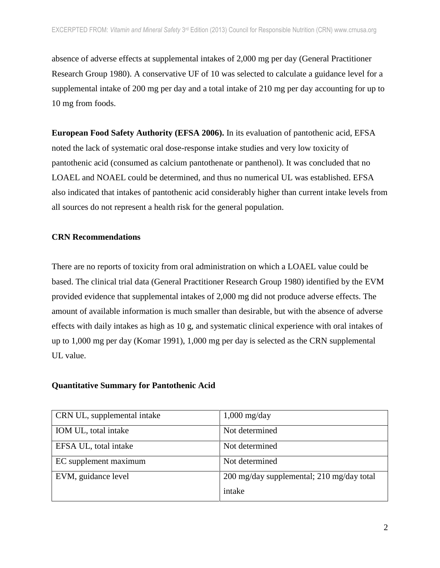absence of adverse effects at supplemental intakes of 2,000 mg per day (General Practitioner Research Group 1980). A conservative UF of 10 was selected to calculate a guidance level for a supplemental intake of 200 mg per day and a total intake of 210 mg per day accounting for up to 10 mg from foods.

**European Food Safety Authority (EFSA 2006).** In its evaluation of pantothenic acid, EFSA noted the lack of systematic oral dose-response intake studies and very low toxicity of pantothenic acid (consumed as calcium pantothenate or panthenol). It was concluded that no LOAEL and NOAEL could be determined, and thus no numerical UL was established. EFSA also indicated that intakes of pantothenic acid considerably higher than current intake levels from all sources do not represent a health risk for the general population.

## **CRN Recommendations**

There are no reports of toxicity from oral administration on which a LOAEL value could be based. The clinical trial data (General Practitioner Research Group 1980) identified by the EVM provided evidence that supplemental intakes of 2,000 mg did not produce adverse effects. The amount of available information is much smaller than desirable, but with the absence of adverse effects with daily intakes as high as 10 g, and systematic clinical experience with oral intakes of up to 1,000 mg per day (Komar 1991), 1,000 mg per day is selected as the CRN supplemental UL value.

#### **Quantitative Summary for Pantothenic Acid**

| CRN UL, supplemental intake | $1,000 \text{ mg/day}$                    |
|-----------------------------|-------------------------------------------|
| IOM UL, total intake        | Not determined                            |
| EFSA UL, total intake       | Not determined                            |
| EC supplement maximum       | Not determined                            |
| EVM, guidance level         | 200 mg/day supplemental; 210 mg/day total |
|                             | intake                                    |